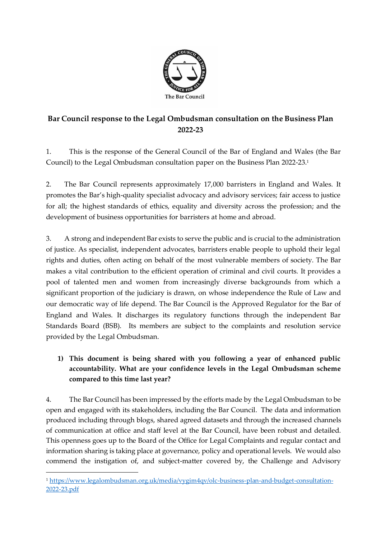

# **Bar Council response to the Legal Ombudsman consultation on the Business Plan 2022-23**

1. This is the response of the General Council of the Bar of England and Wales (the Bar Council) to the Legal Ombudsman consultation paper on the Business Plan 2022-23.<sup>1</sup>

2. The Bar Council represents approximately 17,000 barristers in England and Wales. It promotes the Bar's high-quality specialist advocacy and advisory services; fair access to justice for all; the highest standards of ethics, equality and diversity across the profession; and the development of business opportunities for barristers at home and abroad.

3. A strong and independent Bar exists to serve the public and is crucial to the administration of justice. As specialist, independent advocates, barristers enable people to uphold their legal rights and duties, often acting on behalf of the most vulnerable members of society. The Bar makes a vital contribution to the efficient operation of criminal and civil courts. It provides a pool of talented men and women from increasingly diverse backgrounds from which a significant proportion of the judiciary is drawn, on whose independence the Rule of Law and our democratic way of life depend. The Bar Council is the Approved Regulator for the Bar of England and Wales. It discharges its regulatory functions through the independent Bar Standards Board (BSB). Its members are subject to the complaints and resolution service provided by the Legal Ombudsman.

## **1) This document is being shared with you following a year of enhanced public accountability. What are your confidence levels in the Legal Ombudsman scheme compared to this time last year?**

4. The Bar Council has been impressed by the efforts made by the Legal Ombudsman to be open and engaged with its stakeholders, including the Bar Council. The data and information produced including through blogs, shared agreed datasets and through the increased channels of communication at office and staff level at the Bar Council, have been robust and detailed. This openness goes up to the Board of the Office for Legal Complaints and regular contact and information sharing is taking place at governance, policy and operational levels. We would also commend the instigation of, and subject-matter covered by, the Challenge and Advisory

<sup>1</sup> [https://www.legalombudsman.org.uk/media/vygim4qv/olc-business-plan-and-budget-consultation-](https://www.legalombudsman.org.uk/media/vygim4qv/olc-business-plan-and-budget-consultation-2022-23.pdf)[2022-23.pdf](https://www.legalombudsman.org.uk/media/vygim4qv/olc-business-plan-and-budget-consultation-2022-23.pdf)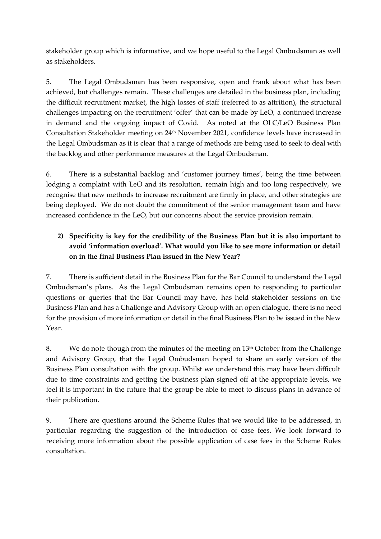stakeholder group which is informative, and we hope useful to the Legal Ombudsman as well as stakeholders.

5. The Legal Ombudsman has been responsive, open and frank about what has been achieved, but challenges remain. These challenges are detailed in the business plan, including the difficult recruitment market, the high losses of staff (referred to as attrition), the structural challenges impacting on the recruitment 'offer' that can be made by LeO, a continued increase in demand and the ongoing impact of Covid. As noted at the OLC/LeO Business Plan Consultation Stakeholder meeting on 24<sup>th</sup> November 2021, confidence levels have increased in the Legal Ombudsman as it is clear that a range of methods are being used to seek to deal with the backlog and other performance measures at the Legal Ombudsman.

6. There is a substantial backlog and 'customer journey times', being the time between lodging a complaint with LeO and its resolution, remain high and too long respectively, we recognise that new methods to increase recruitment are firmly in place, and other strategies are being deployed. We do not doubt the commitment of the senior management team and have increased confidence in the LeO, but our concerns about the service provision remain.

### **2) Specificity is key for the credibility of the Business Plan but it is also important to avoid 'information overload'. What would you like to see more information or detail on in the final Business Plan issued in the New Year?**

7. There is sufficient detail in the Business Plan for the Bar Council to understand the Legal Ombudsman's plans. As the Legal Ombudsman remains open to responding to particular questions or queries that the Bar Council may have, has held stakeholder sessions on the Business Plan and has a Challenge and Advisory Group with an open dialogue, there is no need for the provision of more information or detail in the final Business Plan to be issued in the New Year.

8. We do note though from the minutes of the meeting on 13<sup>th</sup> October from the Challenge and Advisory Group, that the Legal Ombudsman hoped to share an early version of the Business Plan consultation with the group. Whilst we understand this may have been difficult due to time constraints and getting the business plan signed off at the appropriate levels, we feel it is important in the future that the group be able to meet to discuss plans in advance of their publication.

9. There are questions around the Scheme Rules that we would like to be addressed, in particular regarding the suggestion of the introduction of case fees. We look forward to receiving more information about the possible application of case fees in the Scheme Rules consultation.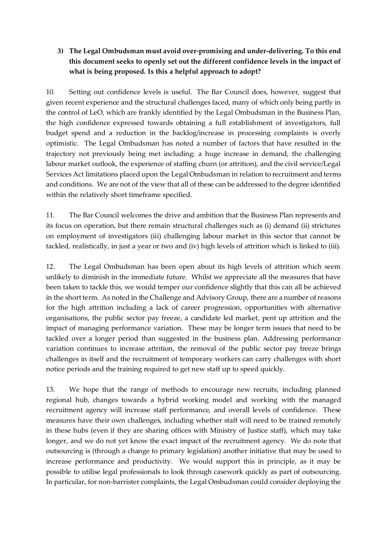### **3) The Legal Ombudsman must avoid over-promising and under-delivering. To this end this document seeks to openly set out the different confidence levels in the impact of what is being proposed. Is this a helpful approach to adopt?**

10. Setting out confidence levels is useful. The Bar Council does, however, suggest that given recent experience and the structural challenges faced, many of which only being partly in the control of LeO, which are frankly identified by the Legal Ombudsman in the Business Plan, the high confidence expressed towards obtaining a full establishment of investigators, full budget spend and a reduction in the backlog/increase in processing complaints is overly optimistic. The Legal Ombudsman has noted a number of factors that have resulted in the trajectory not previously being met including: a huge increase in demand, the challenging labour market outlook, the experience of staffing churn (or attrition), and the civil service/Legal Services Act limitations placed upon the Legal Ombudsman in relation to recruitment and terms and conditions. We are not of the view that all of these can be addressed to the degree identified within the relatively short timeframe specified.

11. The Bar Council welcomes the drive and ambition that the Business Plan represents and its focus on operation, but there remain structural challenges such as (i) demand (ii) strictures on employment of investigators (iii) challenging labour market in this sector that cannot be tackled, realistically, in just a year or two and (iv) high levels of attrition which is linked to (iii).

12. The Legal Ombudsman has been open about its high levels of attrition which seem unlikely to diminish in the immediate future. Whilst we appreciate all the measures that have been taken to tackle this, we would temper our confidence slightly that this can all be achieved in the short term. As noted in the Challenge and Advisory Group, there are a number of reasons for the high attrition including a lack of career progression, opportunities with alternative organisations, the public sector pay freeze, a candidate led market, pent up attrition and the impact of managing performance variation. These may be longer term issues that need to be tackled over a longer period than suggested in the business plan. Addressing performance variation continues to increase attrition, the removal of the public sector pay freeze brings challenges in itself and the recruitment of temporary workers can carry challenges with short notice periods and the training required to get new staff up to speed quickly.

13. We hope that the range of methods to encourage new recruits, including planned regional hub, changes towards a hybrid working model and working with the managed recruitment agency will increase staff performance, and overall levels of confidence. These measures have their own challenges, including whether staff will need to be trained remotely in these hubs (even if they are sharing offices with Ministry of Justice staff), which may take longer, and we do not yet know the exact impact of the recruitment agency. We do note that outsourcing is (through a change to primary legislation) another initiative that may be used to increase performance and productivity. We would support this in principle, as it may be possible to utilise legal professionals to look through casework quickly as part of outsourcing. In particular, for non-barrister complaints, the Legal Ombudsman could consider deploying the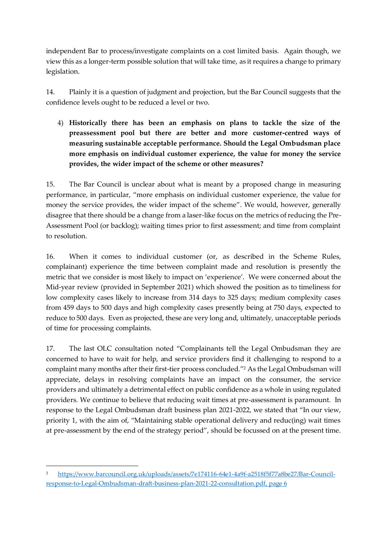independent Bar to process/investigate complaints on a cost limited basis. Again though, we view this as a longer-term possible solution that will take time, as it requires a change to primary legislation.

14. Plainly it is a question of judgment and projection, but the Bar Council suggests that the confidence levels ought to be reduced a level or two.

4) **Historically there has been an emphasis on plans to tackle the size of the preassessment pool but there are better and more customer-centred ways of measuring sustainable acceptable performance. Should the Legal Ombudsman place more emphasis on individual customer experience, the value for money the service provides, the wider impact of the scheme or other measures?**

15. The Bar Council is unclear about what is meant by a proposed change in measuring performance, in particular, "more emphasis on individual customer experience, the value for money the service provides, the wider impact of the scheme". We would, however, generally disagree that there should be a change from a laser-like focus on the metrics of reducing the Pre-Assessment Pool (or backlog); waiting times prior to first assessment; and time from complaint to resolution.

16. When it comes to individual customer (or, as described in the Scheme Rules, complainant) experience the time between complaint made and resolution is presently the metric that we consider is most likely to impact on 'experience'. We were concerned about the Mid-year review (provided in September 2021) which showed the position as to timeliness for low complexity cases likely to increase from 314 days to 325 days; medium complexity cases from 459 days to 500 days and high complexity cases presently being at 750 days, expected to reduce to 500 days. Even as projected, these are very long and, ultimately, unacceptable periods of time for processing complaints.

17. The last OLC consultation noted "Complainants tell the Legal Ombudsman they are concerned to have to wait for help, and service providers find it challenging to respond to a complaint many months after their first-tier process concluded."<sup>2</sup> As the Legal Ombudsman will appreciate, delays in resolving complaints have an impact on the consumer, the service providers and ultimately a detrimental effect on public confidence as a whole in using regulated providers. We continue to believe that reducing wait times at pre-assessment is paramount. In response to the Legal Ombudsman draft business plan 2021-2022, we stated that "In our view, priority 1, with the aim of, "Maintaining stable operational delivery and reduc(ing) wait times at pre-assessment by the end of the strategy period", should be focussed on at the present time.

<sup>2</sup> [https://www.barcouncil.org.uk/uploads/assets/7e174116-64e1-4a9f-a2518f5f77a8be27/Bar-Council](https://www.barcouncil.org.uk/uploads/assets/7e174116-64e1-4a9f-a2518f5f77a8be27/Bar-Council-response-to-Legal-Ombudsman-draft-business-plan-2021-22-consultation.pdf)[response-to-Legal-Ombudsman-draft-business-plan-2021-22-consultation.pdf,](https://www.barcouncil.org.uk/uploads/assets/7e174116-64e1-4a9f-a2518f5f77a8be27/Bar-Council-response-to-Legal-Ombudsman-draft-business-plan-2021-22-consultation.pdf) page 6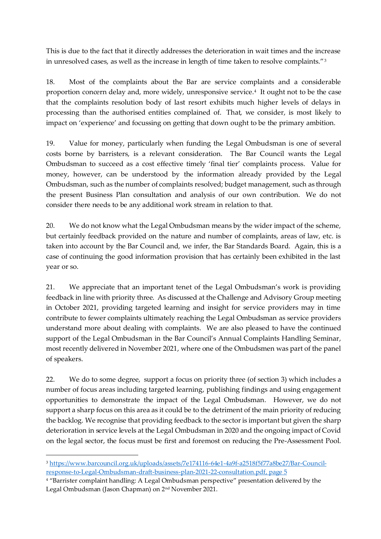This is due to the fact that it directly addresses the deterioration in wait times and the increase in unresolved cases, as well as the increase in length of time taken to resolve complaints."<sup>3</sup>

18. Most of the complaints about the Bar are service complaints and a considerable proportion concern delay and, more widely, unresponsive service.<sup>4</sup> It ought not to be the case that the complaints resolution body of last resort exhibits much higher levels of delays in processing than the authorised entities complained of. That, we consider, is most likely to impact on 'experience' and focussing on getting that down ought to be the primary ambition.

19. Value for money, particularly when funding the Legal Ombudsman is one of several costs borne by barristers, is a relevant consideration. The Bar Council wants the Legal Ombudsman to succeed as a cost effective timely 'final tier' complaints process. Value for money, however, can be understood by the information already provided by the Legal Ombudsman, such as the number of complaints resolved; budget management, such as through the present Business Plan consultation and analysis of our own contribution. We do not consider there needs to be any additional work stream in relation to that.

20. We do not know what the Legal Ombudsman means by the wider impact of the scheme, but certainly feedback provided on the nature and number of complaints, areas of law, etc. is taken into account by the Bar Council and, we infer, the Bar Standards Board. Again, this is a case of continuing the good information provision that has certainly been exhibited in the last year or so.

21. We appreciate that an important tenet of the Legal Ombudsman's work is providing feedback in line with priority three. As discussed at the Challenge and Advisory Group meeting in October 2021, providing targeted learning and insight for service providers may in time contribute to fewer complaints ultimately reaching the Legal Ombudsman as service providers understand more about dealing with complaints. We are also pleased to have the continued support of the Legal Ombudsman in the Bar Council's Annual Complaints Handling Seminar, most recently delivered in November 2021, where one of the Ombudsmen was part of the panel of speakers.

22. We do to some degree, support a focus on priority three (of section 3) which includes a number of focus areas including targeted learning, publishing findings and using engagement opportunities to demonstrate the impact of the Legal Ombudsman. However, we do not support a sharp focus on this area as it could be to the detriment of the main priority of reducing the backlog. We recognise that providing feedback to the sector is important but given the sharp deterioration in service levels at the Legal Ombudsman in 2020 and the ongoing impact of Covid on the legal sector, the focus must be first and foremost on reducing the Pre-Assessment Pool.

<sup>3</sup> [https://www.barcouncil.org.uk/uploads/assets/7e174116-64e1-4a9f-a2518f5f77a8be27/Bar-Council](https://www.barcouncil.org.uk/uploads/assets/7e174116-64e1-4a9f-a2518f5f77a8be27/Bar-Council-response-to-Legal-Ombudsman-draft-business-plan-2021-22-consultation.pdf)[response-to-Legal-Ombudsman-draft-business-plan-2021-22-consultation.pdf,](https://www.barcouncil.org.uk/uploads/assets/7e174116-64e1-4a9f-a2518f5f77a8be27/Bar-Council-response-to-Legal-Ombudsman-draft-business-plan-2021-22-consultation.pdf) page 5

<sup>4</sup> "Barrister complaint handling: A Legal Ombudsman perspective" presentation delivered by the Legal Ombudsman (Jason Chapman) on 2nd November 2021.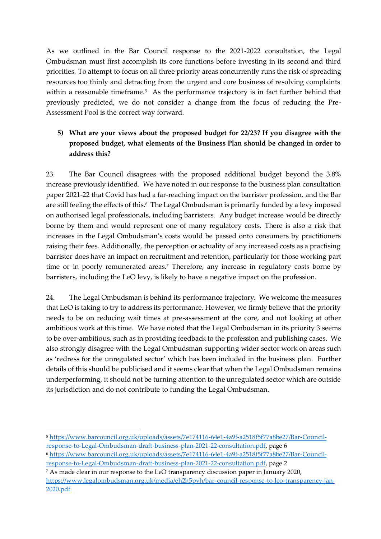As we outlined in the Bar Council response to the 2021-2022 consultation, the Legal Ombudsman must first accomplish its core functions before investing in its second and third priorities. To attempt to focus on all three priority areas concurrently runs the risk of spreading resources too thinly and detracting from the urgent and core business of resolving complaints within a reasonable timeframe.<sup>5</sup> As the performance trajectory is in fact further behind that previously predicted, we do not consider a change from the focus of reducing the Pre-Assessment Pool is the correct way forward.

#### **5) What are your views about the proposed budget for 22/23? If you disagree with the proposed budget, what elements of the Business Plan should be changed in order to address this?**

23. The Bar Council disagrees with the proposed additional budget beyond the 3.8% increase previously identified.We have noted in our response to the business plan consultation paper 2021-22 that Covid has had a far-reaching impact on the barrister profession, and the Bar are still feeling the effects of this.6 The Legal Ombudsman is primarily funded by a levy imposed on authorised legal professionals, including barristers. Any budget increase would be directly borne by them and would represent one of many regulatory costs. There is also a risk that increases in the Legal Ombudsman's costs would be passed onto consumers by practitioners raising their fees. Additionally, the perception or actuality of any increased costs as a practising barrister does have an impact on recruitment and retention, particularly for those working part time or in poorly remunerated areas.<sup>7</sup> Therefore, any increase in regulatory costs borne by barristers, including the LeO levy, is likely to have a negative impact on the profession.

24. The Legal Ombudsman is behind its performance trajectory. We welcome the measures that LeO is taking to try to address its performance. However, we firmly believe that the priority needs to be on reducing wait times at pre-assessment at the core, and not looking at other ambitious work at this time. We have noted that the Legal Ombudsman in its priority 3 seems to be over-ambitious, such as in providing feedback to the profession and publishing cases. We also strongly disagree with the Legal Ombudsman supporting wider sector work on areas such as 'redress for the unregulated sector' which has been included in the business plan. Further details of this should be publicised and it seems clear that when the Legal Ombudsman remains underperforming, it should not be turning attention to the unregulated sector which are outside its jurisdiction and do not contribute to funding the Legal Ombudsman.

[response-to-Legal-Ombudsman-draft-business-plan-2021-22-consultation.pdf,](https://www.barcouncil.org.uk/uploads/assets/7e174116-64e1-4a9f-a2518f5f77a8be27/Bar-Council-response-to-Legal-Ombudsman-draft-business-plan-2021-22-consultation.pdf) page 2

<sup>5</sup> [https://www.barcouncil.org.uk/uploads/assets/7e174116-64e1-4a9f-a2518f5f77a8be27/Bar-Council](https://www.barcouncil.org.uk/uploads/assets/7e174116-64e1-4a9f-a2518f5f77a8be27/Bar-Council-response-to-Legal-Ombudsman-draft-business-plan-2021-22-consultation.pdf)[response-to-Legal-Ombudsman-draft-business-plan-2021-22-consultation.pdf,](https://www.barcouncil.org.uk/uploads/assets/7e174116-64e1-4a9f-a2518f5f77a8be27/Bar-Council-response-to-Legal-Ombudsman-draft-business-plan-2021-22-consultation.pdf) page 6 <sup>6</sup> [https://www.barcouncil.org.uk/uploads/assets/7e174116-64e1-4a9f-a2518f5f77a8be27/Bar-Council-](https://www.barcouncil.org.uk/uploads/assets/7e174116-64e1-4a9f-a2518f5f77a8be27/Bar-Council-response-to-Legal-Ombudsman-draft-business-plan-2021-22-consultation.pdf)

<sup>7</sup> As made clear in our response to the LeO transparency discussion paper in January 2020, [https://www.legalombudsman.org.uk/media/eh2h5pvh/bar-council-response-to-leo-transparency-jan-](https://www.legalombudsman.org.uk/media/eh2h5pvh/bar-council-response-to-leo-transparency-jan-2020.pdf)[2020.pdf](https://www.legalombudsman.org.uk/media/eh2h5pvh/bar-council-response-to-leo-transparency-jan-2020.pdf)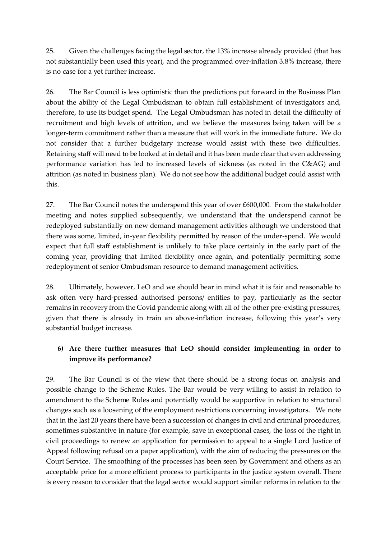25. Given the challenges facing the legal sector, the 13% increase already provided (that has not substantially been used this year), and the programmed over-inflation 3.8% increase, there is no case for a yet further increase.

26. The Bar Council is less optimistic than the predictions put forward in the Business Plan about the ability of the Legal Ombudsman to obtain full establishment of investigators and, therefore, to use its budget spend. The Legal Ombudsman has noted in detail the difficulty of recruitment and high levels of attrition, and we believe the measures being taken will be a longer-term commitment rather than a measure that will work in the immediate future. We do not consider that a further budgetary increase would assist with these two difficulties. Retaining staff will need to be looked at in detail and it has been made clear that even addressing performance variation has led to increased levels of sickness (as noted in the C&AG) and attrition (as noted in business plan). We do not see how the additional budget could assist with this.

27. The Bar Council notes the underspend this year of over £600,000. From the stakeholder meeting and notes supplied subsequently, we understand that the underspend cannot be redeployed substantially on new demand management activities although we understood that there was some, limited, in-year flexibility permitted by reason of the under-spend. We would expect that full staff establishment is unlikely to take place certainly in the early part of the coming year, providing that limited flexibility once again, and potentially permitting some redeployment of senior Ombudsman resource to demand management activities.

28. Ultimately, however, LeO and we should bear in mind what it is fair and reasonable to ask often very hard-pressed authorised persons/ entities to pay, particularly as the sector remains in recovery from the Covid pandemic along with all of the other pre-existing pressures, given that there is already in train an above-inflation increase, following this year's very substantial budget increase.

#### **6) Are there further measures that LeO should consider implementing in order to improve its performance?**

29. The Bar Council is of the view that there should be a strong focus on analysis and possible change to the Scheme Rules. The Bar would be very willing to assist in relation to amendment to the Scheme Rules and potentially would be supportive in relation to structural changes such as a loosening of the employment restrictions concerning investigators. We note that in the last 20 years there have been a succession of changes in civil and criminal procedures, sometimes substantive in nature (for example, save in exceptional cases, the loss of the right in civil proceedings to renew an application for permission to appeal to a single Lord Justice of Appeal following refusal on a paper application), with the aim of reducing the pressures on the Court Service. The smoothing of the processes has been seen by Government and others as an acceptable price for a more efficient process to participants in the justice system overall. There is every reason to consider that the legal sector would support similar reforms in relation to the